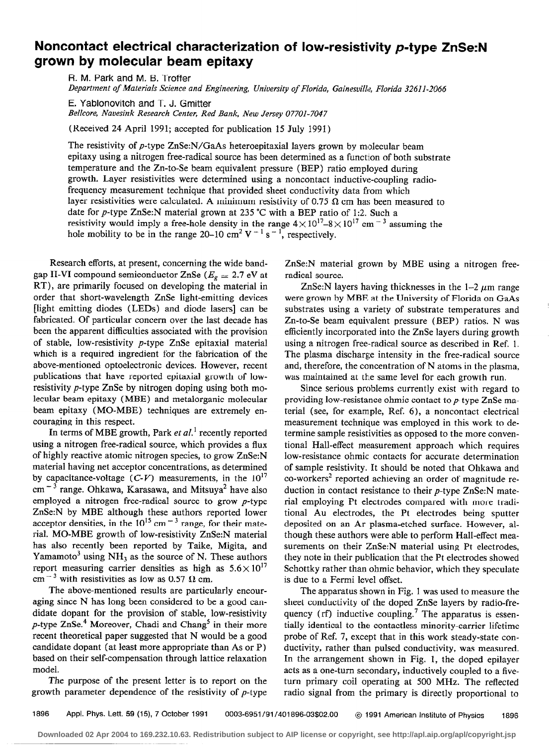## Noncontact electrical characterization of low-resistivity p-type ZnSe:N grown by molecular beam epitaxy

R. M. Park and M. B. Troffer Department of Materials Science and Engineering, University of Florida, Gainesville, Florida 32611-2066

E. Yablonovitch and T. J. Gmitter Bellcore, Navesink Research Center, Red Bank, New Jersey 07701-7047

(Received 24 April 1991; accepted for publication 15 July 1991)

The resistivity of p-type ZnSe:N/GaAs heteroepitaxial layers grown by molecular beam epitaxy using a nitrogen free-radical source has been determined as a function of both substrate temperature and the Zn-to-Se beam equivalent pressure (BEP) ratio employed during growth, Layer resistivities were determined using a noncontact inductive-coupling radiofrequency measurement technique that provided sheet conductivity data from which layer resistivities were calculated. A minimum resistivity of 0.75  $\Omega$  cm has been measured to date for p-type ZnSe:N material grown at 235 "C with a BEP ratio of 1:2. Such a resistivity would imply a free-hole density in the range  $4 \times 10^{17} - 8 \times 10^{17}$  cm  $^{-3}$  assuming the hole mobility to be in the range 20-10 cm<sup>2</sup> V<sup>-1</sup> s<sup>-1</sup>, respectively.

Research efforts, at present, concerning the wide bandgap II-VI compound semiconductor ZnSe ( $E_g \simeq 2.7 \text{ eV}$  at RT), are primarily focused on developing the material in order that short-wavelength ZnSe light-emitting devices [light emitting diodes (LEDs) and diode lasers] can be fabricated. Of particular concern over the last decade has been the apparent difficulties associated with the provision of stable, low-resistivity p-type ZnSe epitaxial material which is a required ingredient for the fabrication of the above-mentioned optoelectronic devices. However, recent publications that have reported epitaxial growth of lowresistivity p-type ZnSe by nitrogen doping using both molecular beam epitaxy (MBE) and metalorganic molecular beam epitaxy (MO-MBE) techniques are extremely encouraging in this respect.

In terms of MBE growth, Park *et al.*<sup>1</sup> recently reported using a nitrogen free-radical source, which provides a flux of highly reactive atomic nitrogen species, to grow ZnSe:N material having net acceptor concentrations, as determined by capacitance-voltage  $(C-V)$  measurements, in the  $10^{17}$ cm<sup>-3</sup> range. Ohkawa, Karasawa, and Mitsuya<sup>2</sup> have also employed a nitrogen free-radical source to grow  $p$ -type ZnSe:N by MBE although these authors reported lower acceptor densities, in the  $10^{15}$  cm  $^{-3}$  range, for their material. MO-MBE growth of low-resistivity ZnSe:N material has also recently been reported by Taike, Migita, and Yamamoto<sup>3</sup> using  $NH<sub>3</sub>$  as the source of N. These authors report measuring carrier densities as high as  $5.6 \times 10^{17}$  $cm^{-3}$  with resistivities as low as 0.57  $\Omega$  cm.

The above-mentioned results are particularly encouraging since N has long been considered to be a good candidate dopant for the provision of stable, low-resistivity  $p$ -type ZnSe.<sup>4</sup> Moreover, Chadi and Chang<sup>5</sup> in their more recent theoretical paper suggested that N would be a good candidate dopant (at least more appropriate than As or P) based on their self-compensation through lattice relaxation model.

The purpose of the present letter is to report on the growth parameter dependence of the resistivity of p-type

ZnSe:N material grown by MBE using a nitrogen freeradical source.

ZnSe:N layers having thicknesses in the  $1-2 \mu m$  range were grown by MBE at the University of Florida on GaAs substrates using a variety of substrate temperatures and Zn-to-Se beam equivalent pressure (BEP) ratios. N was efficiently incorporated into the ZnSe layers during growth using a nitrogen free-radical source as described in Ref. 1. The plasma discharge intensity in the free-radical source and, therefore, the concentration of N atoms in the plasma, was maintained at the same level for each growth run.

Since serious problems currently exist with regard to providing low-resistance ohmic contact to p-type ZnSe material (see, for example, Ref, 6), a noncontact electrical measurement technique was employed in this work to determine sample resistivities as opposed to the more conventional Hall-effect measurement approach which requires low-resistance ohmic contacts for accurate determination of sample resistivity. It should be noted that Ohkawa and  $co$ -workers<sup>2</sup> reported achieving an order of magnitude reduction in contact resistance to their *p*-type ZnSe:N material employing Pt electrodes compared with more traditional Au electrodes, the Pt electrodes being sputter deposited on an Ar plasma-etched surface. However, although these authors were able to perform Hall-effect measurements on their ZnSe:N material using Pt electrodes, they note in their publication that the Ft electrodes showed Schottky rather than ohmic behavior, which they speculate is due to a Fermi level offset.

The apparatus shown in Fig. 1 was used to measure the sheet conductivity of the doped ZnSe layers by radio-frequency (rf) inductive coupling.<sup>7</sup> The apparatus is essentially identical to the contactless minority-carrier lifetime probe of Ref. 7, except that in this work steady-state conductivity, rather than pulsed conductivity, was measured. In the arrangement shown in Fig. 1, the doped epilayer acts as a one-turn secondary, inductively coupled to a fiveturn primary coil operating at 500 MHz. The reflected radio signal from the primary is directly proportional to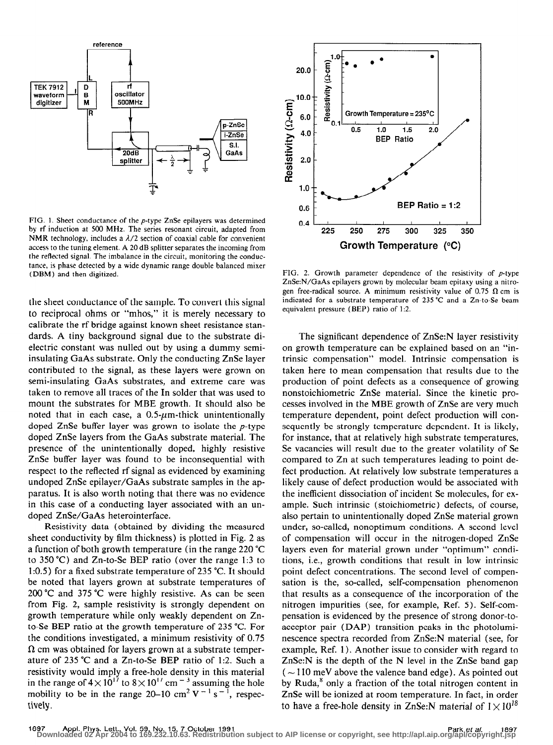

FIG. 1. Sheet conductance of the  $p$ -type ZnSe epilayers was determined by rf induction at 500 MHz. The series resonant circuit, adapted from NMR technology, includes a  $\lambda/2$  section of coaxial cable for convenient access to the tuning element. A 20 dB splitter separates the incoming from the reflected signal. The imbalance in the circuit, monitoring the conductance, is phase detected by a wide dynamic range double balanced mixer (DBM) and then digitized.

the sheet conductance of the sample. To convert this signal to reciprocal ohms or "mhos," it is merely necessary to calibrate the rf bridge against known sheet resistance standards. A tiny background signal due to the substrate dielectric constant was nulled out by using a dummy semiinsulating GaAs substrate. Only the conducting ZnSe layer contributed to the signal, as these layers were grown on semi-insulating GaAs substrates, and extreme care was taken to remove all traces of the In solder that was used to mount the substrates for MBE growth. It should also be noted that in each case, a  $0.5\text{-}\mu\text{m}$ -thick unintentionally doped ZnSe buffer layer was grown to isolate the  $p$ -type doped ZnSe layers from the GaAs substrate material. The presence of the unintentionally doped, highly resistive ZnSe buffer layer was found to be inconsequential with respect to the reflected rf signal as evidenced by examining undoped ZnSe epilayer/GaAs substrate samples in the apparatus. It is also worth noting that there was no evidence in this case of a conducting layer associated with an undoped ZnSe/GaAs heterointerface.

Resistivity data (obtained by dividing the measured sheet conductivity by film thickness) is plotted in Fig. 2 as a function of both growth temperature (in the range 220 "C to 350 "C) and Zn-to-Se BEP ratio (over the range 1:3 to 1:0.5) for a fixed substrate temperature of 235 "C. It should be noted that layers grown at substrate temperatures of 200 "C and 375 "C were highly resistive. As can be seen from Fig. 2, sample resistivity is strongly dependent on growth temperature while only weakly dependent on Znto-Se BEP ratio at the growth temperature of 235 "C. For the conditions investigated, a minimum resistivity of 0.75  $\Omega$  cm was obtained for layers grown at a substrate temperature of 235 "C and a Zn-to-Se BEP ratio of 1:2. Such a resistivity would imply a free-hole density in this material in the range of  $4 \times 10^{17}$  to  $8 \times 10^{17}$  cm<sup>-3</sup> assuming the hole mobility to be in the range 20–10 cm<sup>2</sup> V<sup>-1</sup> s<sup>-1</sup>, respectively.



FIG. 2. Growth parameter dependence of the resistivity of  $p$ -type ZnSe:N/GaAs epilayers grown by molecular beam epitaxy using a nitrogen free-radical source. A minimum resistivity value of 0.75  $\Omega$  cm is indicated for a substrate temperature of 235 "C and a Zn-to-Se beam equivalent pressure (BEP) ratio of 1:2.

The significant dependence of ZnSe:N layer resistivity on growth temperature can be explained based on an "intrinsic compensation" model. Intrinsic compensation is taken here to mean compensation that results due to the production of point defects as a consequence of growing nonstoichiometric ZnSe material. Since the kinetic processes involved in the MBE growth of ZnSe are very much temperature dependent, point defect production will consequently be strongly temperature dependent. It is likely, for instance, that at relatively high substrate temperatures, Se vacancies will result due to the greater volatility of Se compared to Zn at such temperatures leading to point defect production. At relatively low substrate temperatures a likely cause of defect production would be associated with the inefficient dissociation of incident Se molecules, for example. Such intrinsic (stoichiometric) defects, of course, also pertain to unintentionally doped ZnSe material grown under, so-called, nonoptimum conditions. A second level of compensation will occur in the nitrogen-doped ZnSe layers even for material grown under "optimum" conditions, i.e., growth conditions that result in low intrinsic point defect concentrations. The second level of compensation is the, so-called, self-compensation phenomenon that results as a consequence of the incorporation of the nitrogen impurities (see, for example, Ref. 5). Self-compensation is evidenced by the presence of strong donor-toacceptor pair (DAP) transition peaks in the photoluminescence spectra recorded from ZnSe:N material (see, for example, Ref. 1). Another issue to consider with regard to ZnSe:N is the depth of the N level in the ZnSe band gap  $(\sim 110 \text{ meV}$  above the valence band edge). As pointed out by Ruda, $<sup>8</sup>$  only a fraction of the total nitrogen content in</sup> ZnSe will be ionized at room temperature. In fact, in order to have a free-hole density in ZnSe:N material of  $1 \times 10^{18}$